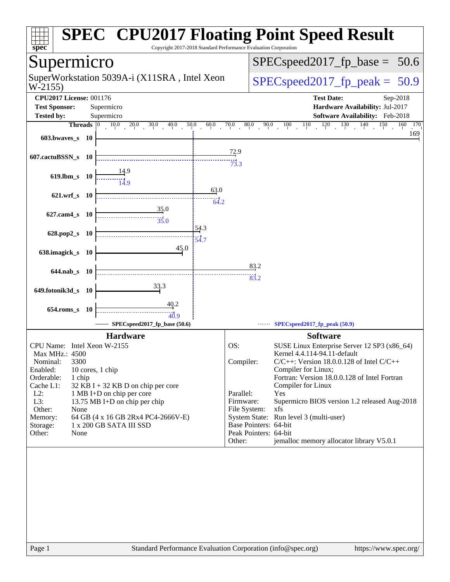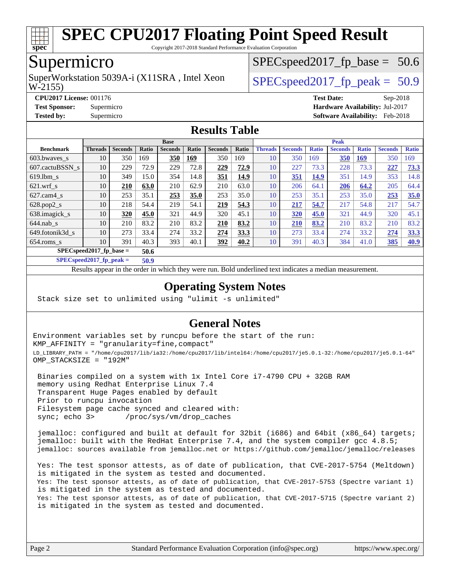

Copyright 2017-2018 Standard Performance Evaluation Corporation

# Supermicro

W-2155) SuperWorkstation 5039A-i (X11SRA, Intel Xeon  $\vert$  SPECspeed2017 fp\_peak = 50.9

 $SPECspeed2017_fp\_base = 50.6$ 

**[CPU2017 License:](http://www.spec.org/auto/cpu2017/Docs/result-fields.html#CPU2017License)** 001176 **[Test Date:](http://www.spec.org/auto/cpu2017/Docs/result-fields.html#TestDate)** Sep-2018 **[Test Sponsor:](http://www.spec.org/auto/cpu2017/Docs/result-fields.html#TestSponsor)** Supermicro **[Hardware Availability:](http://www.spec.org/auto/cpu2017/Docs/result-fields.html#HardwareAvailability)** Jul-2017 **[Tested by:](http://www.spec.org/auto/cpu2017/Docs/result-fields.html#Testedby)** Supermicro **[Software Availability:](http://www.spec.org/auto/cpu2017/Docs/result-fields.html#SoftwareAvailability)** Feb-2018

### **[Results Table](http://www.spec.org/auto/cpu2017/Docs/result-fields.html#ResultsTable)**

|                                    | <b>Base</b>    |                |       |                |       |                | <b>Peak</b> |                |                |              |                |              |                |              |
|------------------------------------|----------------|----------------|-------|----------------|-------|----------------|-------------|----------------|----------------|--------------|----------------|--------------|----------------|--------------|
| <b>Benchmark</b>                   | <b>Threads</b> | <b>Seconds</b> | Ratio | <b>Seconds</b> | Ratio | <b>Seconds</b> | Ratio       | <b>Threads</b> | <b>Seconds</b> | <b>Ratio</b> | <b>Seconds</b> | <b>Ratio</b> | <b>Seconds</b> | <b>Ratio</b> |
| 603.bwayes s                       | 10             | 350            | 169   | 350            | 169   | 350            | 169         | 10             | 350            | 169          | 350            | <u>169</u>   | 350            | 169          |
| 607.cactuBSSN s                    | 10             | 229            | 72.9  | 229            | 72.8  | 229            | 72.9        | 10             | 227            | 73.3         | 228            | 73.3         | 227            | 73.3         |
| $619.1$ bm s                       | 10             | 349            | 15.0  | 354            | 14.8  | 351            | 14.9        | 10             | 351            | 14.9         | 351            | 14.9         | 353            | 14.8         |
| $621.wrf$ s                        | 10             | 210            | 63.0  | 210            | 62.9  | 210            | 63.0        | 10             | 206            | 64.1         | 206            | 64.2         | 205            | 64.4         |
| $627$ .cam $4$ s                   | 10             | 253            | 35.1  | 253            | 35.0  | 253            | 35.0        | 10             | 253            | 35.1         | 253            | 35.0         | 253            | 35.0         |
| $628.pop2_s$                       | 10             | 218            | 54.4  | 219            | 54.1  | 219            | 54.3        | 10             | 217            | 54.7         | 217            | 54.8         | 217            | 54.7         |
| 638. imagick_s                     | 10             | 320            | 45.0  | 321            | 44.9  | 320            | 45.1        | 10             | 320            | 45.0         | 321            | 44.9         | 320            | 45.1         |
| $644$ .nab s                       | 10             | 210            | 83.2  | 210            | 83.2  | 210            | 83.2        | 10             | 210            | 83.2         | 210            | 83.2         | 210            | 83.2         |
| 649.fotonik3d s                    | 10             | 273            | 33.4  | 274            | 33.2  | 274            | 33.3        | 10             | 273            | 33.4         | 274            | 33.2         | 274            | 33.3         |
| $654$ .roms s                      | 10             | 391            | 40.3  | 393            | 40.1  | 392            | 40.2        | 10             | 391            | 40.3         | 384            | 41.0         | 385            | <u>40.9</u>  |
| $SPECspeed2017_fp\_base =$<br>50.6 |                |                |       |                |       |                |             |                |                |              |                |              |                |              |

**[SPECspeed2017\\_fp\\_peak =](http://www.spec.org/auto/cpu2017/Docs/result-fields.html#SPECspeed2017fppeak) 50.9**

Results appear in the [order in which they were run.](http://www.spec.org/auto/cpu2017/Docs/result-fields.html#RunOrder) Bold underlined text [indicates a median measurement](http://www.spec.org/auto/cpu2017/Docs/result-fields.html#Median).

### **[Operating System Notes](http://www.spec.org/auto/cpu2017/Docs/result-fields.html#OperatingSystemNotes)**

Stack size set to unlimited using "ulimit -s unlimited"

### **[General Notes](http://www.spec.org/auto/cpu2017/Docs/result-fields.html#GeneralNotes)**

Environment variables set by runcpu before the start of the run: KMP\_AFFINITY = "granularity=fine,compact" LD\_LIBRARY\_PATH = "/home/cpu2017/lib/ia32:/home/cpu2017/lib/intel64:/home/cpu2017/je5.0.1-32:/home/cpu2017/je5.0.1-64" OMP\_STACKSIZE = "192M"

 Binaries compiled on a system with 1x Intel Core i7-4790 CPU + 32GB RAM memory using Redhat Enterprise Linux 7.4 Transparent Huge Pages enabled by default Prior to runcpu invocation Filesystem page cache synced and cleared with: sync; echo 3> /proc/sys/vm/drop\_caches

 jemalloc: configured and built at default for 32bit (i686) and 64bit (x86\_64) targets; jemalloc: built with the RedHat Enterprise 7.4, and the system compiler gcc 4.8.5; jemalloc: sources available from jemalloc.net or <https://github.com/jemalloc/jemalloc/releases>

 Yes: The test sponsor attests, as of date of publication, that CVE-2017-5754 (Meltdown) is mitigated in the system as tested and documented. Yes: The test sponsor attests, as of date of publication, that CVE-2017-5753 (Spectre variant 1) is mitigated in the system as tested and documented. Yes: The test sponsor attests, as of date of publication, that CVE-2017-5715 (Spectre variant 2) is mitigated in the system as tested and documented.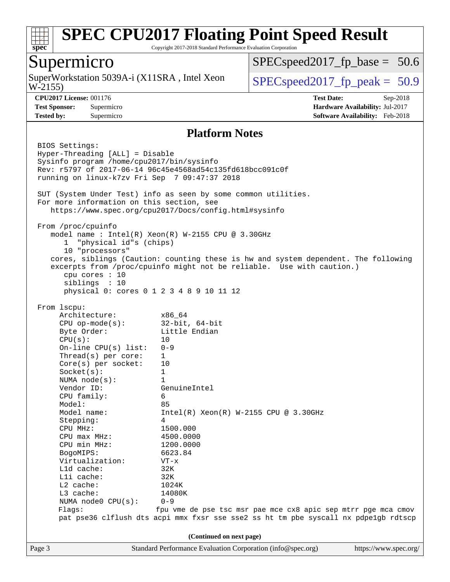

Copyright 2017-2018 Standard Performance Evaluation Corporation

## Supermicro

W-2155) SuperWorkstation 5039A-i (X11SRA, Intel Xeon  $\vert$  [SPECspeed2017\\_fp\\_peak =](http://www.spec.org/auto/cpu2017/Docs/result-fields.html#SPECspeed2017fppeak) 50.9

 $SPECspeed2017_fp\_base = 50.6$ 

**[CPU2017 License:](http://www.spec.org/auto/cpu2017/Docs/result-fields.html#CPU2017License)** 001176 **[Test Date:](http://www.spec.org/auto/cpu2017/Docs/result-fields.html#TestDate)** Sep-2018 **[Test Sponsor:](http://www.spec.org/auto/cpu2017/Docs/result-fields.html#TestSponsor)** Supermicro **[Hardware Availability:](http://www.spec.org/auto/cpu2017/Docs/result-fields.html#HardwareAvailability)** Jul-2017 **[Tested by:](http://www.spec.org/auto/cpu2017/Docs/result-fields.html#Testedby)** Supermicro **[Software Availability:](http://www.spec.org/auto/cpu2017/Docs/result-fields.html#SoftwareAvailability)** Feb-2018

#### **[Platform Notes](http://www.spec.org/auto/cpu2017/Docs/result-fields.html#PlatformNotes)**

Page 3 Standard Performance Evaluation Corporation [\(info@spec.org\)](mailto:info@spec.org) <https://www.spec.org/> BIOS Settings: Hyper-Threading [ALL] = Disable Sysinfo program /home/cpu2017/bin/sysinfo Rev: r5797 of 2017-06-14 96c45e4568ad54c135fd618bcc091c0f running on linux-k7zv Fri Sep 7 09:47:37 2018 SUT (System Under Test) info as seen by some common utilities. For more information on this section, see <https://www.spec.org/cpu2017/Docs/config.html#sysinfo> From /proc/cpuinfo model name : Intel(R) Xeon(R) W-2155 CPU @ 3.30GHz 1 "physical id"s (chips) 10 "processors" cores, siblings (Caution: counting these is hw and system dependent. The following excerpts from /proc/cpuinfo might not be reliable. Use with caution.) cpu cores : 10 siblings : 10 physical 0: cores 0 1 2 3 4 8 9 10 11 12 From lscpu: Architecture: x86\_64 CPU op-mode(s): 32-bit, 64-bit Byte Order: Little Endian  $CPU(s):$  10 On-line CPU(s) list: 0-9 Thread(s) per core: 1 Core(s) per socket: 10 Socket(s): 1 NUMA node(s): 1 Vendor ID: GenuineIntel CPU family: 6 Model: 85 Model name: Intel(R) Xeon(R) W-2155 CPU @ 3.30GHz Stepping: 4 CPU MHz: 1500.000 CPU max MHz: 4500.0000 CPU min MHz: 1200.0000 BogoMIPS: 6623.84 Virtualization: VT-x L1d cache: 32K L1i cache: 32K L2 cache: 1024K L3 cache: 14080K NUMA node0 CPU(s): 0-9 Flags: fpu vme de pse tsc msr pae mce cx8 apic sep mtrr pge mca cmov pat pse36 clflush dts acpi mmx fxsr sse sse2 ss ht tm pbe syscall nx pdpe1gb rdtscp **(Continued on next page)**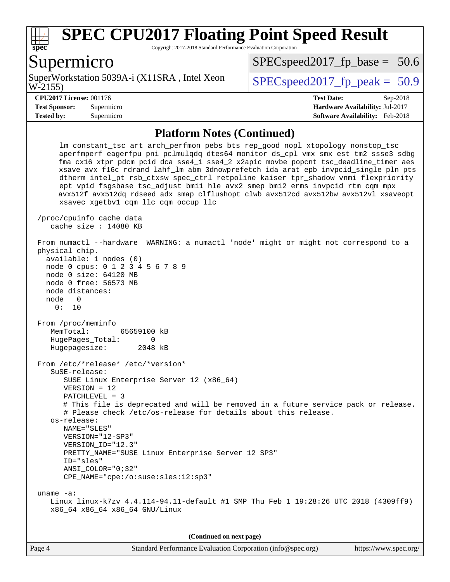

Copyright 2017-2018 Standard Performance Evaluation Corporation

### Supermicro

W-2155) SuperWorkstation 5039A-i (X11SRA, Intel Xeon  $\vert$  SPECspeed2017 fp\_peak = 50.9

 $SPECspeed2017_fp\_base = 50.6$ 

**[Tested by:](http://www.spec.org/auto/cpu2017/Docs/result-fields.html#Testedby)** Supermicro **[Software Availability:](http://www.spec.org/auto/cpu2017/Docs/result-fields.html#SoftwareAvailability)** Feb-2018

**[CPU2017 License:](http://www.spec.org/auto/cpu2017/Docs/result-fields.html#CPU2017License)** 001176 **[Test Date:](http://www.spec.org/auto/cpu2017/Docs/result-fields.html#TestDate)** Sep-2018 **[Test Sponsor:](http://www.spec.org/auto/cpu2017/Docs/result-fields.html#TestSponsor)** Supermicro **[Hardware Availability:](http://www.spec.org/auto/cpu2017/Docs/result-fields.html#HardwareAvailability)** Jul-2017

#### **[Platform Notes \(Continued\)](http://www.spec.org/auto/cpu2017/Docs/result-fields.html#PlatformNotes)**

 lm constant\_tsc art arch\_perfmon pebs bts rep\_good nopl xtopology nonstop\_tsc aperfmperf eagerfpu pni pclmulqdq dtes64 monitor ds\_cpl vmx smx est tm2 ssse3 sdbg fma cx16 xtpr pdcm pcid dca sse4\_1 sse4\_2 x2apic movbe popcnt tsc\_deadline\_timer aes xsave avx f16c rdrand lahf\_lm abm 3dnowprefetch ida arat epb invpcid\_single pln pts dtherm intel\_pt rsb\_ctxsw spec\_ctrl retpoline kaiser tpr\_shadow vnmi flexpriority ept vpid fsgsbase tsc\_adjust bmi1 hle avx2 smep bmi2 erms invpcid rtm cqm mpx avx512f avx512dq rdseed adx smap clflushopt clwb avx512cd avx512bw avx512vl xsaveopt xsavec xgetbv1 cqm\_llc cqm\_occup\_llc /proc/cpuinfo cache data cache size : 14080 KB From numactl --hardware WARNING: a numactl 'node' might or might not correspond to a physical chip. available: 1 nodes (0) node 0 cpus: 0 1 2 3 4 5 6 7 8 9 node 0 size: 64120 MB node 0 free: 56573 MB node distances: node 0 0: 10 From /proc/meminfo MemTotal: 65659100 kB HugePages\_Total: 0 Hugepagesize: 2048 kB From /etc/\*release\* /etc/\*version\* SuSE-release: SUSE Linux Enterprise Server 12 (x86\_64) VERSION = 12 PATCHLEVEL = 3 # This file is deprecated and will be removed in a future service pack or release. # Please check /etc/os-release for details about this release. os-release: NAME="SLES" VERSION="12-SP3" VERSION\_ID="12.3" PRETTY\_NAME="SUSE Linux Enterprise Server 12 SP3" ID="sles" ANSI\_COLOR="0;32" CPE\_NAME="cpe:/o:suse:sles:12:sp3" uname -a: Linux linux-k7zv 4.4.114-94.11-default #1 SMP Thu Feb 1 19:28:26 UTC 2018 (4309ff9) x86\_64 x86\_64 x86\_64 GNU/Linux

**(Continued on next page)**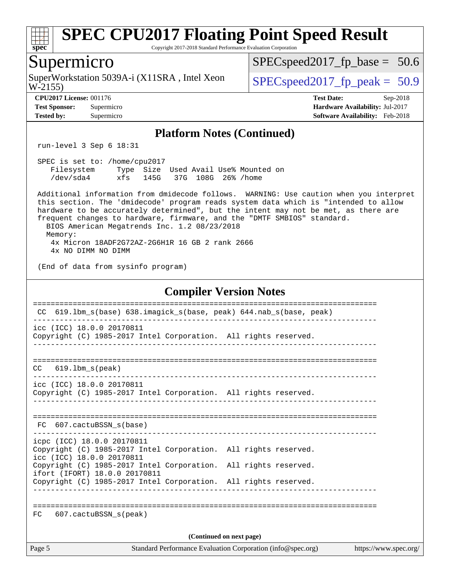

Copyright 2017-2018 Standard Performance Evaluation Corporation

### Supermicro

W-2155) SuperWorkstation 5039A-i (X11SRA, Intel Xeon  $\vert$  [SPECspeed2017\\_fp\\_peak =](http://www.spec.org/auto/cpu2017/Docs/result-fields.html#SPECspeed2017fppeak) 50.9

[SPECspeed2017\\_fp\\_base =](http://www.spec.org/auto/cpu2017/Docs/result-fields.html#SPECspeed2017fpbase) 50.6

**[Tested by:](http://www.spec.org/auto/cpu2017/Docs/result-fields.html#Testedby)** Supermicro **[Software Availability:](http://www.spec.org/auto/cpu2017/Docs/result-fields.html#SoftwareAvailability)** Feb-2018

**[CPU2017 License:](http://www.spec.org/auto/cpu2017/Docs/result-fields.html#CPU2017License)** 001176 **[Test Date:](http://www.spec.org/auto/cpu2017/Docs/result-fields.html#TestDate)** Sep-2018 **[Test Sponsor:](http://www.spec.org/auto/cpu2017/Docs/result-fields.html#TestSponsor)** Supermicro **[Hardware Availability:](http://www.spec.org/auto/cpu2017/Docs/result-fields.html#HardwareAvailability)** Jul-2017

#### **[Platform Notes \(Continued\)](http://www.spec.org/auto/cpu2017/Docs/result-fields.html#PlatformNotes)**

run-level 3 Sep 6 18:31

 SPEC is set to: /home/cpu2017 Filesystem Type Size Used Avail Use% Mounted on /dev/sda4 xfs 145G 37G 108G 26% /home

 Additional information from dmidecode follows. WARNING: Use caution when you interpret this section. The 'dmidecode' program reads system data which is "intended to allow hardware to be accurately determined", but the intent may not be met, as there are frequent changes to hardware, firmware, and the "DMTF SMBIOS" standard. BIOS American Megatrends Inc. 1.2 08/23/2018 Memory: 4x Micron 18ADF2G72AZ-2G6H1R 16 GB 2 rank 2666

4x NO DIMM NO DIMM

(End of data from sysinfo program)

#### **[Compiler Version Notes](http://www.spec.org/auto/cpu2017/Docs/result-fields.html#CompilerVersionNotes)**

| CC.    | 619.1bm s(base) 638.imagick s(base, peak) 644.nab s(base, peak)                                                            |  |  |  |  |  |  |  |
|--------|----------------------------------------------------------------------------------------------------------------------------|--|--|--|--|--|--|--|
|        | icc (ICC) 18.0.0 20170811<br>Copyright (C) 1985-2017 Intel Corporation. All rights reserved.                               |  |  |  |  |  |  |  |
|        | $CC$ 619.1bm $s$ (peak)                                                                                                    |  |  |  |  |  |  |  |
|        | icc (ICC) 18.0.0 20170811<br>Copyright (C) 1985-2017 Intel Corporation. All rights reserved.                               |  |  |  |  |  |  |  |
|        | FC 607.cactuBSSN s(base)                                                                                                   |  |  |  |  |  |  |  |
|        | icpc (ICC) 18.0.0 20170811<br>Copyright (C) 1985-2017 Intel Corporation. All rights reserved.<br>icc (ICC) 18.0.0 20170811 |  |  |  |  |  |  |  |
|        | Copyright (C) 1985-2017 Intel Corporation. All rights reserved.<br>ifort (IFORT) 18.0.0 20170811                           |  |  |  |  |  |  |  |
|        | Copyright (C) 1985-2017 Intel Corporation. All rights reserved.                                                            |  |  |  |  |  |  |  |
| FC     | ===================<br>$607$ .cactuBSSN $s$ (peak)                                                                         |  |  |  |  |  |  |  |
|        | (Continued on next page)                                                                                                   |  |  |  |  |  |  |  |
| Page 5 | https://www.spec.org/                                                                                                      |  |  |  |  |  |  |  |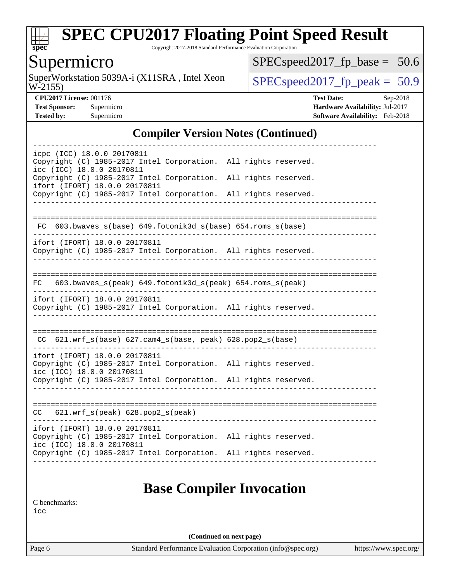

Copyright 2017-2018 Standard Performance Evaluation Corporation

# Supermicro

W-2155) SuperWorkstation 5039A-i  $(X11SRA,$  Intel Xeon  $SPECspeed2017_f$   $peak = 50.9$ 

[SPECspeed2017\\_fp\\_base =](http://www.spec.org/auto/cpu2017/Docs/result-fields.html#SPECspeed2017fpbase) 50.6

**[CPU2017 License:](http://www.spec.org/auto/cpu2017/Docs/result-fields.html#CPU2017License)** 001176 **[Test Date:](http://www.spec.org/auto/cpu2017/Docs/result-fields.html#TestDate)** Sep-2018 **[Test Sponsor:](http://www.spec.org/auto/cpu2017/Docs/result-fields.html#TestSponsor)** Supermicro **[Hardware Availability:](http://www.spec.org/auto/cpu2017/Docs/result-fields.html#HardwareAvailability)** Jul-2017 **[Tested by:](http://www.spec.org/auto/cpu2017/Docs/result-fields.html#Testedby)** Supermicro **[Software Availability:](http://www.spec.org/auto/cpu2017/Docs/result-fields.html#SoftwareAvailability)** Feb-2018

### **[Compiler Version Notes \(Continued\)](http://www.spec.org/auto/cpu2017/Docs/result-fields.html#CompilerVersionNotes)**

| icpc (ICC) 18.0.0 20170811            |  |  | Copyright (C) 1985-2017 Intel Corporation. All rights reserved. |  |  |  |
|---------------------------------------|--|--|-----------------------------------------------------------------|--|--|--|
| icc (ICC) 18.0.0 20170811             |  |  |                                                                 |  |  |  |
| ifort (IFORT) 18.0.0 20170811         |  |  | Copyright (C) 1985-2017 Intel Corporation. All rights reserved. |  |  |  |
|                                       |  |  | Copyright (C) 1985-2017 Intel Corporation. All rights reserved. |  |  |  |
|                                       |  |  |                                                                 |  |  |  |
| FC.                                   |  |  | 603.bwaves_s(base) 649.fotonik3d_s(base) 654.roms_s(base)       |  |  |  |
| ifort (IFORT) 18.0.0 20170811         |  |  |                                                                 |  |  |  |
|                                       |  |  | Copyright (C) 1985-2017 Intel Corporation. All rights reserved. |  |  |  |
|                                       |  |  |                                                                 |  |  |  |
| FC                                    |  |  | 603.bwaves_s(peak) 649.fotonik3d_s(peak) 654.roms_s(peak)       |  |  |  |
| ifort (IFORT) 18.0.0 20170811         |  |  | Copyright (C) 1985-2017 Intel Corporation. All rights reserved. |  |  |  |
|                                       |  |  |                                                                 |  |  |  |
|                                       |  |  |                                                                 |  |  |  |
|                                       |  |  | CC 621.wrf_s(base) 627.cam4_s(base, peak) 628.pop2_s(base)      |  |  |  |
| ifort (IFORT) 18.0.0 20170811         |  |  | Copyright (C) 1985-2017 Intel Corporation. All rights reserved. |  |  |  |
| icc (ICC) 18.0.0 20170811             |  |  |                                                                 |  |  |  |
|                                       |  |  | Copyright (C) 1985-2017 Intel Corporation. All rights reserved. |  |  |  |
|                                       |  |  |                                                                 |  |  |  |
| $CC$ 621.wrf_s(peak) 628.pop2_s(peak) |  |  |                                                                 |  |  |  |
| ifort (IFORT) 18.0.0 20170811         |  |  | Copyright (C) 1985-2017 Intel Corporation. All rights reserved. |  |  |  |
| icc (ICC) 18.0.0 20170811             |  |  |                                                                 |  |  |  |
|                                       |  |  | Copyright (C) 1985-2017 Intel Corporation. All rights reserved. |  |  |  |
|                                       |  |  |                                                                 |  |  |  |
|                                       |  |  | <b>Base Compiler Invocation</b>                                 |  |  |  |
|                                       |  |  |                                                                 |  |  |  |

[C benchmarks](http://www.spec.org/auto/cpu2017/Docs/result-fields.html#Cbenchmarks):

[icc](http://www.spec.org/cpu2017/results/res2018q4/cpu2017-20181002-09060.flags.html#user_CCbase_intel_icc_18.0_66fc1ee009f7361af1fbd72ca7dcefbb700085f36577c54f309893dd4ec40d12360134090235512931783d35fd58c0460139e722d5067c5574d8eaf2b3e37e92)

**(Continued on next page)**

Page 6 Standard Performance Evaluation Corporation [\(info@spec.org\)](mailto:info@spec.org) <https://www.spec.org/>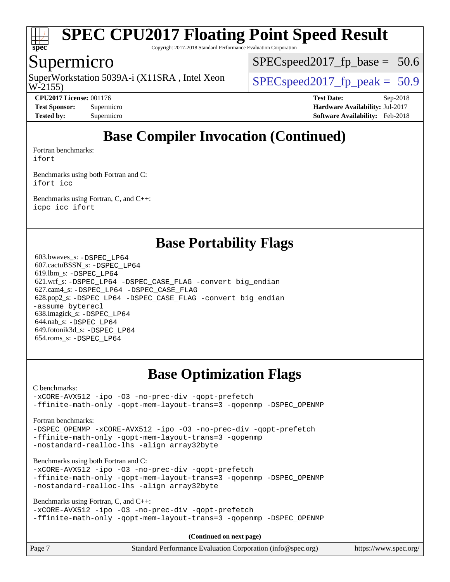

Copyright 2017-2018 Standard Performance Evaluation Corporation

## Supermicro

W-2155) SuperWorkstation 5039A-i (X11SRA, Intel Xeon  $\vert$  SPECspeed2017 fp\_peak = 50.9

 $SPECspeed2017_fp\_base = 50.6$ 

**[CPU2017 License:](http://www.spec.org/auto/cpu2017/Docs/result-fields.html#CPU2017License)** 001176 **[Test Date:](http://www.spec.org/auto/cpu2017/Docs/result-fields.html#TestDate)** Sep-2018 **[Test Sponsor:](http://www.spec.org/auto/cpu2017/Docs/result-fields.html#TestSponsor)** Supermicro **[Hardware Availability:](http://www.spec.org/auto/cpu2017/Docs/result-fields.html#HardwareAvailability)** Jul-2017 **[Tested by:](http://www.spec.org/auto/cpu2017/Docs/result-fields.html#Testedby)** Supermicro **[Software Availability:](http://www.spec.org/auto/cpu2017/Docs/result-fields.html#SoftwareAvailability)** Feb-2018

# **[Base Compiler Invocation \(Continued\)](http://www.spec.org/auto/cpu2017/Docs/result-fields.html#BaseCompilerInvocation)**

[Fortran benchmarks](http://www.spec.org/auto/cpu2017/Docs/result-fields.html#Fortranbenchmarks):

[ifort](http://www.spec.org/cpu2017/results/res2018q4/cpu2017-20181002-09060.flags.html#user_FCbase_intel_ifort_18.0_8111460550e3ca792625aed983ce982f94888b8b503583aa7ba2b8303487b4d8a21a13e7191a45c5fd58ff318f48f9492884d4413fa793fd88dd292cad7027ca)

[Benchmarks using both Fortran and C](http://www.spec.org/auto/cpu2017/Docs/result-fields.html#BenchmarksusingbothFortranandC): [ifort](http://www.spec.org/cpu2017/results/res2018q4/cpu2017-20181002-09060.flags.html#user_CC_FCbase_intel_ifort_18.0_8111460550e3ca792625aed983ce982f94888b8b503583aa7ba2b8303487b4d8a21a13e7191a45c5fd58ff318f48f9492884d4413fa793fd88dd292cad7027ca) [icc](http://www.spec.org/cpu2017/results/res2018q4/cpu2017-20181002-09060.flags.html#user_CC_FCbase_intel_icc_18.0_66fc1ee009f7361af1fbd72ca7dcefbb700085f36577c54f309893dd4ec40d12360134090235512931783d35fd58c0460139e722d5067c5574d8eaf2b3e37e92)

[Benchmarks using Fortran, C, and C++:](http://www.spec.org/auto/cpu2017/Docs/result-fields.html#BenchmarksusingFortranCandCXX) [icpc](http://www.spec.org/cpu2017/results/res2018q4/cpu2017-20181002-09060.flags.html#user_CC_CXX_FCbase_intel_icpc_18.0_c510b6838c7f56d33e37e94d029a35b4a7bccf4766a728ee175e80a419847e808290a9b78be685c44ab727ea267ec2f070ec5dc83b407c0218cded6866a35d07) [icc](http://www.spec.org/cpu2017/results/res2018q4/cpu2017-20181002-09060.flags.html#user_CC_CXX_FCbase_intel_icc_18.0_66fc1ee009f7361af1fbd72ca7dcefbb700085f36577c54f309893dd4ec40d12360134090235512931783d35fd58c0460139e722d5067c5574d8eaf2b3e37e92) [ifort](http://www.spec.org/cpu2017/results/res2018q4/cpu2017-20181002-09060.flags.html#user_CC_CXX_FCbase_intel_ifort_18.0_8111460550e3ca792625aed983ce982f94888b8b503583aa7ba2b8303487b4d8a21a13e7191a45c5fd58ff318f48f9492884d4413fa793fd88dd292cad7027ca)

### **[Base Portability Flags](http://www.spec.org/auto/cpu2017/Docs/result-fields.html#BasePortabilityFlags)**

 603.bwaves\_s: [-DSPEC\\_LP64](http://www.spec.org/cpu2017/results/res2018q4/cpu2017-20181002-09060.flags.html#suite_basePORTABILITY603_bwaves_s_DSPEC_LP64) 607.cactuBSSN\_s: [-DSPEC\\_LP64](http://www.spec.org/cpu2017/results/res2018q4/cpu2017-20181002-09060.flags.html#suite_basePORTABILITY607_cactuBSSN_s_DSPEC_LP64) 619.lbm\_s: [-DSPEC\\_LP64](http://www.spec.org/cpu2017/results/res2018q4/cpu2017-20181002-09060.flags.html#suite_basePORTABILITY619_lbm_s_DSPEC_LP64) 621.wrf\_s: [-DSPEC\\_LP64](http://www.spec.org/cpu2017/results/res2018q4/cpu2017-20181002-09060.flags.html#suite_basePORTABILITY621_wrf_s_DSPEC_LP64) [-DSPEC\\_CASE\\_FLAG](http://www.spec.org/cpu2017/results/res2018q4/cpu2017-20181002-09060.flags.html#b621.wrf_s_baseCPORTABILITY_DSPEC_CASE_FLAG) [-convert big\\_endian](http://www.spec.org/cpu2017/results/res2018q4/cpu2017-20181002-09060.flags.html#user_baseFPORTABILITY621_wrf_s_convert_big_endian_c3194028bc08c63ac5d04de18c48ce6d347e4e562e8892b8bdbdc0214820426deb8554edfa529a3fb25a586e65a3d812c835984020483e7e73212c4d31a38223) 627.cam4\_s: [-DSPEC\\_LP64](http://www.spec.org/cpu2017/results/res2018q4/cpu2017-20181002-09060.flags.html#suite_basePORTABILITY627_cam4_s_DSPEC_LP64) [-DSPEC\\_CASE\\_FLAG](http://www.spec.org/cpu2017/results/res2018q4/cpu2017-20181002-09060.flags.html#b627.cam4_s_baseCPORTABILITY_DSPEC_CASE_FLAG) 628.pop2\_s: [-DSPEC\\_LP64](http://www.spec.org/cpu2017/results/res2018q4/cpu2017-20181002-09060.flags.html#suite_basePORTABILITY628_pop2_s_DSPEC_LP64) [-DSPEC\\_CASE\\_FLAG](http://www.spec.org/cpu2017/results/res2018q4/cpu2017-20181002-09060.flags.html#b628.pop2_s_baseCPORTABILITY_DSPEC_CASE_FLAG) [-convert big\\_endian](http://www.spec.org/cpu2017/results/res2018q4/cpu2017-20181002-09060.flags.html#user_baseFPORTABILITY628_pop2_s_convert_big_endian_c3194028bc08c63ac5d04de18c48ce6d347e4e562e8892b8bdbdc0214820426deb8554edfa529a3fb25a586e65a3d812c835984020483e7e73212c4d31a38223) [-assume byterecl](http://www.spec.org/cpu2017/results/res2018q4/cpu2017-20181002-09060.flags.html#user_baseFPORTABILITY628_pop2_s_assume_byterecl_7e47d18b9513cf18525430bbf0f2177aa9bf368bc7a059c09b2c06a34b53bd3447c950d3f8d6c70e3faf3a05c8557d66a5798b567902e8849adc142926523472) 638.imagick\_s: [-DSPEC\\_LP64](http://www.spec.org/cpu2017/results/res2018q4/cpu2017-20181002-09060.flags.html#suite_basePORTABILITY638_imagick_s_DSPEC_LP64) 644.nab\_s: [-DSPEC\\_LP64](http://www.spec.org/cpu2017/results/res2018q4/cpu2017-20181002-09060.flags.html#suite_basePORTABILITY644_nab_s_DSPEC_LP64) 649.fotonik3d\_s: [-DSPEC\\_LP64](http://www.spec.org/cpu2017/results/res2018q4/cpu2017-20181002-09060.flags.html#suite_basePORTABILITY649_fotonik3d_s_DSPEC_LP64) 654.roms\_s: [-DSPEC\\_LP64](http://www.spec.org/cpu2017/results/res2018q4/cpu2017-20181002-09060.flags.html#suite_basePORTABILITY654_roms_s_DSPEC_LP64)

# **[Base Optimization Flags](http://www.spec.org/auto/cpu2017/Docs/result-fields.html#BaseOptimizationFlags)**

[C benchmarks](http://www.spec.org/auto/cpu2017/Docs/result-fields.html#Cbenchmarks):

[-xCORE-AVX512](http://www.spec.org/cpu2017/results/res2018q4/cpu2017-20181002-09060.flags.html#user_CCbase_f-xCORE-AVX512) [-ipo](http://www.spec.org/cpu2017/results/res2018q4/cpu2017-20181002-09060.flags.html#user_CCbase_f-ipo) [-O3](http://www.spec.org/cpu2017/results/res2018q4/cpu2017-20181002-09060.flags.html#user_CCbase_f-O3) [-no-prec-div](http://www.spec.org/cpu2017/results/res2018q4/cpu2017-20181002-09060.flags.html#user_CCbase_f-no-prec-div) [-qopt-prefetch](http://www.spec.org/cpu2017/results/res2018q4/cpu2017-20181002-09060.flags.html#user_CCbase_f-qopt-prefetch) [-ffinite-math-only](http://www.spec.org/cpu2017/results/res2018q4/cpu2017-20181002-09060.flags.html#user_CCbase_f_finite_math_only_cb91587bd2077682c4b38af759c288ed7c732db004271a9512da14a4f8007909a5f1427ecbf1a0fb78ff2a814402c6114ac565ca162485bbcae155b5e4258871) [-qopt-mem-layout-trans=3](http://www.spec.org/cpu2017/results/res2018q4/cpu2017-20181002-09060.flags.html#user_CCbase_f-qopt-mem-layout-trans_de80db37974c74b1f0e20d883f0b675c88c3b01e9d123adea9b28688d64333345fb62bc4a798493513fdb68f60282f9a726aa07f478b2f7113531aecce732043) [-qopenmp](http://www.spec.org/cpu2017/results/res2018q4/cpu2017-20181002-09060.flags.html#user_CCbase_qopenmp_16be0c44f24f464004c6784a7acb94aca937f053568ce72f94b139a11c7c168634a55f6653758ddd83bcf7b8463e8028bb0b48b77bcddc6b78d5d95bb1df2967) [-DSPEC\\_OPENMP](http://www.spec.org/cpu2017/results/res2018q4/cpu2017-20181002-09060.flags.html#suite_CCbase_DSPEC_OPENMP)

[Fortran benchmarks](http://www.spec.org/auto/cpu2017/Docs/result-fields.html#Fortranbenchmarks):

[-DSPEC\\_OPENMP](http://www.spec.org/cpu2017/results/res2018q4/cpu2017-20181002-09060.flags.html#suite_FCbase_DSPEC_OPENMP) [-xCORE-AVX512](http://www.spec.org/cpu2017/results/res2018q4/cpu2017-20181002-09060.flags.html#user_FCbase_f-xCORE-AVX512) [-ipo](http://www.spec.org/cpu2017/results/res2018q4/cpu2017-20181002-09060.flags.html#user_FCbase_f-ipo) [-O3](http://www.spec.org/cpu2017/results/res2018q4/cpu2017-20181002-09060.flags.html#user_FCbase_f-O3) [-no-prec-div](http://www.spec.org/cpu2017/results/res2018q4/cpu2017-20181002-09060.flags.html#user_FCbase_f-no-prec-div) [-qopt-prefetch](http://www.spec.org/cpu2017/results/res2018q4/cpu2017-20181002-09060.flags.html#user_FCbase_f-qopt-prefetch) [-ffinite-math-only](http://www.spec.org/cpu2017/results/res2018q4/cpu2017-20181002-09060.flags.html#user_FCbase_f_finite_math_only_cb91587bd2077682c4b38af759c288ed7c732db004271a9512da14a4f8007909a5f1427ecbf1a0fb78ff2a814402c6114ac565ca162485bbcae155b5e4258871) [-qopt-mem-layout-trans=3](http://www.spec.org/cpu2017/results/res2018q4/cpu2017-20181002-09060.flags.html#user_FCbase_f-qopt-mem-layout-trans_de80db37974c74b1f0e20d883f0b675c88c3b01e9d123adea9b28688d64333345fb62bc4a798493513fdb68f60282f9a726aa07f478b2f7113531aecce732043) [-qopenmp](http://www.spec.org/cpu2017/results/res2018q4/cpu2017-20181002-09060.flags.html#user_FCbase_qopenmp_16be0c44f24f464004c6784a7acb94aca937f053568ce72f94b139a11c7c168634a55f6653758ddd83bcf7b8463e8028bb0b48b77bcddc6b78d5d95bb1df2967) [-nostandard-realloc-lhs](http://www.spec.org/cpu2017/results/res2018q4/cpu2017-20181002-09060.flags.html#user_FCbase_f_2003_std_realloc_82b4557e90729c0f113870c07e44d33d6f5a304b4f63d4c15d2d0f1fab99f5daaed73bdb9275d9ae411527f28b936061aa8b9c8f2d63842963b95c9dd6426b8a) [-align array32byte](http://www.spec.org/cpu2017/results/res2018q4/cpu2017-20181002-09060.flags.html#user_FCbase_align_array32byte_b982fe038af199962ba9a80c053b8342c548c85b40b8e86eb3cc33dee0d7986a4af373ac2d51c3f7cf710a18d62fdce2948f201cd044323541f22fc0fffc51b6)

[Benchmarks using both Fortran and C](http://www.spec.org/auto/cpu2017/Docs/result-fields.html#BenchmarksusingbothFortranandC):

[-xCORE-AVX512](http://www.spec.org/cpu2017/results/res2018q4/cpu2017-20181002-09060.flags.html#user_CC_FCbase_f-xCORE-AVX512) [-ipo](http://www.spec.org/cpu2017/results/res2018q4/cpu2017-20181002-09060.flags.html#user_CC_FCbase_f-ipo) [-O3](http://www.spec.org/cpu2017/results/res2018q4/cpu2017-20181002-09060.flags.html#user_CC_FCbase_f-O3) [-no-prec-div](http://www.spec.org/cpu2017/results/res2018q4/cpu2017-20181002-09060.flags.html#user_CC_FCbase_f-no-prec-div) [-qopt-prefetch](http://www.spec.org/cpu2017/results/res2018q4/cpu2017-20181002-09060.flags.html#user_CC_FCbase_f-qopt-prefetch) [-ffinite-math-only](http://www.spec.org/cpu2017/results/res2018q4/cpu2017-20181002-09060.flags.html#user_CC_FCbase_f_finite_math_only_cb91587bd2077682c4b38af759c288ed7c732db004271a9512da14a4f8007909a5f1427ecbf1a0fb78ff2a814402c6114ac565ca162485bbcae155b5e4258871) [-qopt-mem-layout-trans=3](http://www.spec.org/cpu2017/results/res2018q4/cpu2017-20181002-09060.flags.html#user_CC_FCbase_f-qopt-mem-layout-trans_de80db37974c74b1f0e20d883f0b675c88c3b01e9d123adea9b28688d64333345fb62bc4a798493513fdb68f60282f9a726aa07f478b2f7113531aecce732043) [-qopenmp](http://www.spec.org/cpu2017/results/res2018q4/cpu2017-20181002-09060.flags.html#user_CC_FCbase_qopenmp_16be0c44f24f464004c6784a7acb94aca937f053568ce72f94b139a11c7c168634a55f6653758ddd83bcf7b8463e8028bb0b48b77bcddc6b78d5d95bb1df2967) [-DSPEC\\_OPENMP](http://www.spec.org/cpu2017/results/res2018q4/cpu2017-20181002-09060.flags.html#suite_CC_FCbase_DSPEC_OPENMP) [-nostandard-realloc-lhs](http://www.spec.org/cpu2017/results/res2018q4/cpu2017-20181002-09060.flags.html#user_CC_FCbase_f_2003_std_realloc_82b4557e90729c0f113870c07e44d33d6f5a304b4f63d4c15d2d0f1fab99f5daaed73bdb9275d9ae411527f28b936061aa8b9c8f2d63842963b95c9dd6426b8a) [-align array32byte](http://www.spec.org/cpu2017/results/res2018q4/cpu2017-20181002-09060.flags.html#user_CC_FCbase_align_array32byte_b982fe038af199962ba9a80c053b8342c548c85b40b8e86eb3cc33dee0d7986a4af373ac2d51c3f7cf710a18d62fdce2948f201cd044323541f22fc0fffc51b6)

[Benchmarks using Fortran, C, and C++:](http://www.spec.org/auto/cpu2017/Docs/result-fields.html#BenchmarksusingFortranCandCXX)

```
-xCORE-AVX512 -ipo -O3 -no-prec-div -qopt-prefetch
-ffinite-math-only -qopt-mem-layout-trans=3 -qopenmp -DSPEC_OPENMP
```
**(Continued on next page)**

| Page 7 | Standard Performance Evaluation Corporation (info@spec.org) | https://www.spec.org/ |
|--------|-------------------------------------------------------------|-----------------------|
|--------|-------------------------------------------------------------|-----------------------|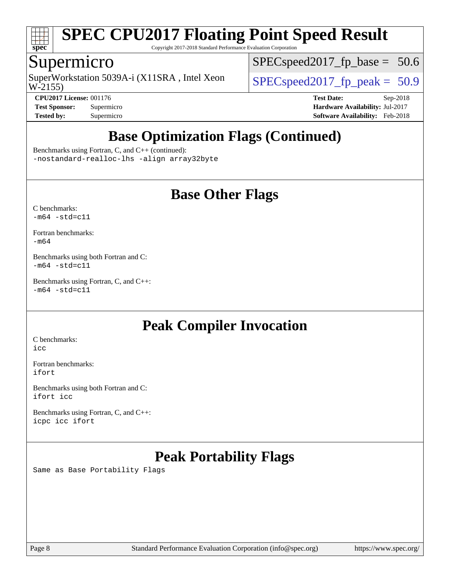

Copyright 2017-2018 Standard Performance Evaluation Corporation

## Supermicro

W-2155) SuperWorkstation 5039A-i (X11SRA, Intel Xeon  $\vert$  [SPECspeed2017\\_fp\\_peak =](http://www.spec.org/auto/cpu2017/Docs/result-fields.html#SPECspeed2017fppeak) 50.9

[SPECspeed2017\\_fp\\_base =](http://www.spec.org/auto/cpu2017/Docs/result-fields.html#SPECspeed2017fpbase) 50.6

**[Tested by:](http://www.spec.org/auto/cpu2017/Docs/result-fields.html#Testedby)** Supermicro **[Software Availability:](http://www.spec.org/auto/cpu2017/Docs/result-fields.html#SoftwareAvailability)** Feb-2018

**[CPU2017 License:](http://www.spec.org/auto/cpu2017/Docs/result-fields.html#CPU2017License)** 001176 **[Test Date:](http://www.spec.org/auto/cpu2017/Docs/result-fields.html#TestDate)** Sep-2018 **[Test Sponsor:](http://www.spec.org/auto/cpu2017/Docs/result-fields.html#TestSponsor)** Supermicro **[Hardware Availability:](http://www.spec.org/auto/cpu2017/Docs/result-fields.html#HardwareAvailability)** Jul-2017

# **[Base Optimization Flags \(Continued\)](http://www.spec.org/auto/cpu2017/Docs/result-fields.html#BaseOptimizationFlags)**

[Benchmarks using Fortran, C, and C++](http://www.spec.org/auto/cpu2017/Docs/result-fields.html#BenchmarksusingFortranCandCXX) (continued): [-nostandard-realloc-lhs](http://www.spec.org/cpu2017/results/res2018q4/cpu2017-20181002-09060.flags.html#user_CC_CXX_FCbase_f_2003_std_realloc_82b4557e90729c0f113870c07e44d33d6f5a304b4f63d4c15d2d0f1fab99f5daaed73bdb9275d9ae411527f28b936061aa8b9c8f2d63842963b95c9dd6426b8a) [-align array32byte](http://www.spec.org/cpu2017/results/res2018q4/cpu2017-20181002-09060.flags.html#user_CC_CXX_FCbase_align_array32byte_b982fe038af199962ba9a80c053b8342c548c85b40b8e86eb3cc33dee0d7986a4af373ac2d51c3f7cf710a18d62fdce2948f201cd044323541f22fc0fffc51b6)

## **[Base Other Flags](http://www.spec.org/auto/cpu2017/Docs/result-fields.html#BaseOtherFlags)**

[C benchmarks](http://www.spec.org/auto/cpu2017/Docs/result-fields.html#Cbenchmarks):  $-m64 - std= c11$  $-m64 - std= c11$ 

[Fortran benchmarks](http://www.spec.org/auto/cpu2017/Docs/result-fields.html#Fortranbenchmarks): [-m64](http://www.spec.org/cpu2017/results/res2018q4/cpu2017-20181002-09060.flags.html#user_FCbase_intel_intel64_18.0_af43caccfc8ded86e7699f2159af6efc7655f51387b94da716254467f3c01020a5059329e2569e4053f409e7c9202a7efc638f7a6d1ffb3f52dea4a3e31d82ab)

[Benchmarks using both Fortran and C](http://www.spec.org/auto/cpu2017/Docs/result-fields.html#BenchmarksusingbothFortranandC):  $-m64 - std= c11$  $-m64 - std= c11$ 

[Benchmarks using Fortran, C, and C++:](http://www.spec.org/auto/cpu2017/Docs/result-fields.html#BenchmarksusingFortranCandCXX)  $-m64 - std = c11$  $-m64 - std = c11$ 

# **[Peak Compiler Invocation](http://www.spec.org/auto/cpu2017/Docs/result-fields.html#PeakCompilerInvocation)**

[C benchmarks](http://www.spec.org/auto/cpu2017/Docs/result-fields.html#Cbenchmarks): [icc](http://www.spec.org/cpu2017/results/res2018q4/cpu2017-20181002-09060.flags.html#user_CCpeak_intel_icc_18.0_66fc1ee009f7361af1fbd72ca7dcefbb700085f36577c54f309893dd4ec40d12360134090235512931783d35fd58c0460139e722d5067c5574d8eaf2b3e37e92)

[Fortran benchmarks](http://www.spec.org/auto/cpu2017/Docs/result-fields.html#Fortranbenchmarks): [ifort](http://www.spec.org/cpu2017/results/res2018q4/cpu2017-20181002-09060.flags.html#user_FCpeak_intel_ifort_18.0_8111460550e3ca792625aed983ce982f94888b8b503583aa7ba2b8303487b4d8a21a13e7191a45c5fd58ff318f48f9492884d4413fa793fd88dd292cad7027ca)

[Benchmarks using both Fortran and C](http://www.spec.org/auto/cpu2017/Docs/result-fields.html#BenchmarksusingbothFortranandC): [ifort](http://www.spec.org/cpu2017/results/res2018q4/cpu2017-20181002-09060.flags.html#user_CC_FCpeak_intel_ifort_18.0_8111460550e3ca792625aed983ce982f94888b8b503583aa7ba2b8303487b4d8a21a13e7191a45c5fd58ff318f48f9492884d4413fa793fd88dd292cad7027ca) [icc](http://www.spec.org/cpu2017/results/res2018q4/cpu2017-20181002-09060.flags.html#user_CC_FCpeak_intel_icc_18.0_66fc1ee009f7361af1fbd72ca7dcefbb700085f36577c54f309893dd4ec40d12360134090235512931783d35fd58c0460139e722d5067c5574d8eaf2b3e37e92)

[Benchmarks using Fortran, C, and C++:](http://www.spec.org/auto/cpu2017/Docs/result-fields.html#BenchmarksusingFortranCandCXX) [icpc](http://www.spec.org/cpu2017/results/res2018q4/cpu2017-20181002-09060.flags.html#user_CC_CXX_FCpeak_intel_icpc_18.0_c510b6838c7f56d33e37e94d029a35b4a7bccf4766a728ee175e80a419847e808290a9b78be685c44ab727ea267ec2f070ec5dc83b407c0218cded6866a35d07) [icc](http://www.spec.org/cpu2017/results/res2018q4/cpu2017-20181002-09060.flags.html#user_CC_CXX_FCpeak_intel_icc_18.0_66fc1ee009f7361af1fbd72ca7dcefbb700085f36577c54f309893dd4ec40d12360134090235512931783d35fd58c0460139e722d5067c5574d8eaf2b3e37e92) [ifort](http://www.spec.org/cpu2017/results/res2018q4/cpu2017-20181002-09060.flags.html#user_CC_CXX_FCpeak_intel_ifort_18.0_8111460550e3ca792625aed983ce982f94888b8b503583aa7ba2b8303487b4d8a21a13e7191a45c5fd58ff318f48f9492884d4413fa793fd88dd292cad7027ca)

# **[Peak Portability Flags](http://www.spec.org/auto/cpu2017/Docs/result-fields.html#PeakPortabilityFlags)**

Same as Base Portability Flags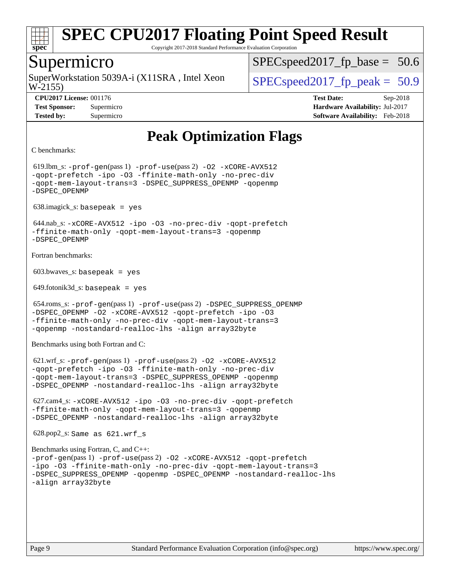

Copyright 2017-2018 Standard Performance Evaluation Corporation

## Supermicro

W-2155) SuperWorkstation 5039A-i (X11SRA, Intel Xeon  $\vert$  SPECspeed2017 fp\_peak = 50.9

 $SPECspeed2017_fp\_base = 50.6$ 

**[Tested by:](http://www.spec.org/auto/cpu2017/Docs/result-fields.html#Testedby)** Supermicro **[Software Availability:](http://www.spec.org/auto/cpu2017/Docs/result-fields.html#SoftwareAvailability)** Feb-2018

**[CPU2017 License:](http://www.spec.org/auto/cpu2017/Docs/result-fields.html#CPU2017License)** 001176 **[Test Date:](http://www.spec.org/auto/cpu2017/Docs/result-fields.html#TestDate)** Sep-2018 **[Test Sponsor:](http://www.spec.org/auto/cpu2017/Docs/result-fields.html#TestSponsor)** Supermicro **[Hardware Availability:](http://www.spec.org/auto/cpu2017/Docs/result-fields.html#HardwareAvailability)** Jul-2017

# **[Peak Optimization Flags](http://www.spec.org/auto/cpu2017/Docs/result-fields.html#PeakOptimizationFlags)**

```
C benchmarks:
```
 619.lbm\_s: [-prof-gen](http://www.spec.org/cpu2017/results/res2018q4/cpu2017-20181002-09060.flags.html#user_peakPASS1_CFLAGSPASS1_LDFLAGS619_lbm_s_prof_gen_5aa4926d6013ddb2a31985c654b3eb18169fc0c6952a63635c234f711e6e63dd76e94ad52365559451ec499a2cdb89e4dc58ba4c67ef54ca681ffbe1461d6b36)(pass 1) [-prof-use](http://www.spec.org/cpu2017/results/res2018q4/cpu2017-20181002-09060.flags.html#user_peakPASS2_CFLAGSPASS2_LDFLAGS619_lbm_s_prof_use_1a21ceae95f36a2b53c25747139a6c16ca95bd9def2a207b4f0849963b97e94f5260e30a0c64f4bb623698870e679ca08317ef8150905d41bd88c6f78df73f19)(pass 2) [-O2](http://www.spec.org/cpu2017/results/res2018q4/cpu2017-20181002-09060.flags.html#user_peakPASS1_COPTIMIZE619_lbm_s_f-O2) [-xCORE-AVX512](http://www.spec.org/cpu2017/results/res2018q4/cpu2017-20181002-09060.flags.html#user_peakPASS2_COPTIMIZE619_lbm_s_f-xCORE-AVX512) [-qopt-prefetch](http://www.spec.org/cpu2017/results/res2018q4/cpu2017-20181002-09060.flags.html#user_peakPASS1_COPTIMIZEPASS2_COPTIMIZE619_lbm_s_f-qopt-prefetch) [-ipo](http://www.spec.org/cpu2017/results/res2018q4/cpu2017-20181002-09060.flags.html#user_peakPASS2_COPTIMIZE619_lbm_s_f-ipo) [-O3](http://www.spec.org/cpu2017/results/res2018q4/cpu2017-20181002-09060.flags.html#user_peakPASS2_COPTIMIZE619_lbm_s_f-O3) [-ffinite-math-only](http://www.spec.org/cpu2017/results/res2018q4/cpu2017-20181002-09060.flags.html#user_peakPASS1_COPTIMIZEPASS2_COPTIMIZE619_lbm_s_f_finite_math_only_cb91587bd2077682c4b38af759c288ed7c732db004271a9512da14a4f8007909a5f1427ecbf1a0fb78ff2a814402c6114ac565ca162485bbcae155b5e4258871) [-no-prec-div](http://www.spec.org/cpu2017/results/res2018q4/cpu2017-20181002-09060.flags.html#user_peakPASS2_COPTIMIZE619_lbm_s_f-no-prec-div) [-qopt-mem-layout-trans=3](http://www.spec.org/cpu2017/results/res2018q4/cpu2017-20181002-09060.flags.html#user_peakPASS1_COPTIMIZEPASS2_COPTIMIZE619_lbm_s_f-qopt-mem-layout-trans_de80db37974c74b1f0e20d883f0b675c88c3b01e9d123adea9b28688d64333345fb62bc4a798493513fdb68f60282f9a726aa07f478b2f7113531aecce732043) [-DSPEC\\_SUPPRESS\\_OPENMP](http://www.spec.org/cpu2017/results/res2018q4/cpu2017-20181002-09060.flags.html#suite_peakPASS1_COPTIMIZE619_lbm_s_DSPEC_SUPPRESS_OPENMP) [-qopenmp](http://www.spec.org/cpu2017/results/res2018q4/cpu2017-20181002-09060.flags.html#user_peakPASS2_COPTIMIZE619_lbm_s_qopenmp_16be0c44f24f464004c6784a7acb94aca937f053568ce72f94b139a11c7c168634a55f6653758ddd83bcf7b8463e8028bb0b48b77bcddc6b78d5d95bb1df2967) [-DSPEC\\_OPENMP](http://www.spec.org/cpu2017/results/res2018q4/cpu2017-20181002-09060.flags.html#suite_peakPASS2_COPTIMIZE619_lbm_s_DSPEC_OPENMP)

638.imagick\_s: basepeak = yes

 644.nab\_s: [-xCORE-AVX512](http://www.spec.org/cpu2017/results/res2018q4/cpu2017-20181002-09060.flags.html#user_peakCOPTIMIZE644_nab_s_f-xCORE-AVX512) [-ipo](http://www.spec.org/cpu2017/results/res2018q4/cpu2017-20181002-09060.flags.html#user_peakCOPTIMIZE644_nab_s_f-ipo) [-O3](http://www.spec.org/cpu2017/results/res2018q4/cpu2017-20181002-09060.flags.html#user_peakCOPTIMIZE644_nab_s_f-O3) [-no-prec-div](http://www.spec.org/cpu2017/results/res2018q4/cpu2017-20181002-09060.flags.html#user_peakCOPTIMIZE644_nab_s_f-no-prec-div) [-qopt-prefetch](http://www.spec.org/cpu2017/results/res2018q4/cpu2017-20181002-09060.flags.html#user_peakCOPTIMIZE644_nab_s_f-qopt-prefetch) [-ffinite-math-only](http://www.spec.org/cpu2017/results/res2018q4/cpu2017-20181002-09060.flags.html#user_peakCOPTIMIZE644_nab_s_f_finite_math_only_cb91587bd2077682c4b38af759c288ed7c732db004271a9512da14a4f8007909a5f1427ecbf1a0fb78ff2a814402c6114ac565ca162485bbcae155b5e4258871) [-qopt-mem-layout-trans=3](http://www.spec.org/cpu2017/results/res2018q4/cpu2017-20181002-09060.flags.html#user_peakCOPTIMIZE644_nab_s_f-qopt-mem-layout-trans_de80db37974c74b1f0e20d883f0b675c88c3b01e9d123adea9b28688d64333345fb62bc4a798493513fdb68f60282f9a726aa07f478b2f7113531aecce732043) [-qopenmp](http://www.spec.org/cpu2017/results/res2018q4/cpu2017-20181002-09060.flags.html#user_peakCOPTIMIZE644_nab_s_qopenmp_16be0c44f24f464004c6784a7acb94aca937f053568ce72f94b139a11c7c168634a55f6653758ddd83bcf7b8463e8028bb0b48b77bcddc6b78d5d95bb1df2967) [-DSPEC\\_OPENMP](http://www.spec.org/cpu2017/results/res2018q4/cpu2017-20181002-09060.flags.html#suite_peakCOPTIMIZE644_nab_s_DSPEC_OPENMP)

[Fortran benchmarks](http://www.spec.org/auto/cpu2017/Docs/result-fields.html#Fortranbenchmarks):

 $603.bwaves$  s: basepeak = yes

 $649.$ fotonik $3d$ <sub>-</sub>s: basepeak = yes

```
654.roms s: -p\text{rof-qen(pass 1)} -p\text{rof-use(pass 2)} -DSPEC SUPPRESS OPENMP
-DSPEC_OPENMP -O2 -xCORE-AVX512 -qopt-prefetch -ipo -O3
-ffinite-math-only -no-prec-div -qopt-mem-layout-trans=3
-qopenmp -nostandard-realloc-lhs -align array32byte
```
[Benchmarks using both Fortran and C](http://www.spec.org/auto/cpu2017/Docs/result-fields.html#BenchmarksusingbothFortranandC):

 621.wrf\_s: [-prof-gen](http://www.spec.org/cpu2017/results/res2018q4/cpu2017-20181002-09060.flags.html#user_peakPASS1_CFLAGSPASS1_FFLAGSPASS1_LDFLAGS621_wrf_s_prof_gen_5aa4926d6013ddb2a31985c654b3eb18169fc0c6952a63635c234f711e6e63dd76e94ad52365559451ec499a2cdb89e4dc58ba4c67ef54ca681ffbe1461d6b36)(pass 1) [-prof-use](http://www.spec.org/cpu2017/results/res2018q4/cpu2017-20181002-09060.flags.html#user_peakPASS2_CFLAGSPASS2_FFLAGSPASS2_LDFLAGS621_wrf_s_prof_use_1a21ceae95f36a2b53c25747139a6c16ca95bd9def2a207b4f0849963b97e94f5260e30a0c64f4bb623698870e679ca08317ef8150905d41bd88c6f78df73f19)(pass 2) [-O2](http://www.spec.org/cpu2017/results/res2018q4/cpu2017-20181002-09060.flags.html#user_peakPASS1_COPTIMIZEPASS1_FOPTIMIZE621_wrf_s_f-O2) [-xCORE-AVX512](http://www.spec.org/cpu2017/results/res2018q4/cpu2017-20181002-09060.flags.html#user_peakPASS2_COPTIMIZEPASS2_FOPTIMIZE621_wrf_s_f-xCORE-AVX512) [-qopt-prefetch](http://www.spec.org/cpu2017/results/res2018q4/cpu2017-20181002-09060.flags.html#user_peakPASS1_COPTIMIZEPASS1_FOPTIMIZEPASS2_COPTIMIZEPASS2_FOPTIMIZE621_wrf_s_f-qopt-prefetch) [-ipo](http://www.spec.org/cpu2017/results/res2018q4/cpu2017-20181002-09060.flags.html#user_peakPASS2_COPTIMIZEPASS2_FOPTIMIZE621_wrf_s_f-ipo) [-O3](http://www.spec.org/cpu2017/results/res2018q4/cpu2017-20181002-09060.flags.html#user_peakPASS2_COPTIMIZEPASS2_FOPTIMIZE621_wrf_s_f-O3) [-ffinite-math-only](http://www.spec.org/cpu2017/results/res2018q4/cpu2017-20181002-09060.flags.html#user_peakPASS1_COPTIMIZEPASS1_FOPTIMIZEPASS2_COPTIMIZEPASS2_FOPTIMIZE621_wrf_s_f_finite_math_only_cb91587bd2077682c4b38af759c288ed7c732db004271a9512da14a4f8007909a5f1427ecbf1a0fb78ff2a814402c6114ac565ca162485bbcae155b5e4258871) [-no-prec-div](http://www.spec.org/cpu2017/results/res2018q4/cpu2017-20181002-09060.flags.html#user_peakPASS2_COPTIMIZEPASS2_FOPTIMIZE621_wrf_s_f-no-prec-div) [-qopt-mem-layout-trans=3](http://www.spec.org/cpu2017/results/res2018q4/cpu2017-20181002-09060.flags.html#user_peakPASS1_COPTIMIZEPASS1_FOPTIMIZEPASS2_COPTIMIZEPASS2_FOPTIMIZE621_wrf_s_f-qopt-mem-layout-trans_de80db37974c74b1f0e20d883f0b675c88c3b01e9d123adea9b28688d64333345fb62bc4a798493513fdb68f60282f9a726aa07f478b2f7113531aecce732043) [-DSPEC\\_SUPPRESS\\_OPENMP](http://www.spec.org/cpu2017/results/res2018q4/cpu2017-20181002-09060.flags.html#suite_peakPASS1_COPTIMIZEPASS1_FOPTIMIZE621_wrf_s_DSPEC_SUPPRESS_OPENMP) [-qopenmp](http://www.spec.org/cpu2017/results/res2018q4/cpu2017-20181002-09060.flags.html#user_peakPASS2_COPTIMIZEPASS2_FOPTIMIZE621_wrf_s_qopenmp_16be0c44f24f464004c6784a7acb94aca937f053568ce72f94b139a11c7c168634a55f6653758ddd83bcf7b8463e8028bb0b48b77bcddc6b78d5d95bb1df2967) [-DSPEC\\_OPENMP](http://www.spec.org/cpu2017/results/res2018q4/cpu2017-20181002-09060.flags.html#suite_peakPASS2_COPTIMIZEPASS2_FOPTIMIZE621_wrf_s_DSPEC_OPENMP) [-nostandard-realloc-lhs](http://www.spec.org/cpu2017/results/res2018q4/cpu2017-20181002-09060.flags.html#user_peakEXTRA_FOPTIMIZE621_wrf_s_f_2003_std_realloc_82b4557e90729c0f113870c07e44d33d6f5a304b4f63d4c15d2d0f1fab99f5daaed73bdb9275d9ae411527f28b936061aa8b9c8f2d63842963b95c9dd6426b8a) [-align array32byte](http://www.spec.org/cpu2017/results/res2018q4/cpu2017-20181002-09060.flags.html#user_peakEXTRA_FOPTIMIZE621_wrf_s_align_array32byte_b982fe038af199962ba9a80c053b8342c548c85b40b8e86eb3cc33dee0d7986a4af373ac2d51c3f7cf710a18d62fdce2948f201cd044323541f22fc0fffc51b6)

 627.cam4\_s: [-xCORE-AVX512](http://www.spec.org/cpu2017/results/res2018q4/cpu2017-20181002-09060.flags.html#user_peakCOPTIMIZEFOPTIMIZE627_cam4_s_f-xCORE-AVX512) [-ipo](http://www.spec.org/cpu2017/results/res2018q4/cpu2017-20181002-09060.flags.html#user_peakCOPTIMIZEFOPTIMIZE627_cam4_s_f-ipo) [-O3](http://www.spec.org/cpu2017/results/res2018q4/cpu2017-20181002-09060.flags.html#user_peakCOPTIMIZEFOPTIMIZE627_cam4_s_f-O3) [-no-prec-div](http://www.spec.org/cpu2017/results/res2018q4/cpu2017-20181002-09060.flags.html#user_peakCOPTIMIZEFOPTIMIZE627_cam4_s_f-no-prec-div) [-qopt-prefetch](http://www.spec.org/cpu2017/results/res2018q4/cpu2017-20181002-09060.flags.html#user_peakCOPTIMIZEFOPTIMIZE627_cam4_s_f-qopt-prefetch) [-ffinite-math-only](http://www.spec.org/cpu2017/results/res2018q4/cpu2017-20181002-09060.flags.html#user_peakCOPTIMIZEFOPTIMIZE627_cam4_s_f_finite_math_only_cb91587bd2077682c4b38af759c288ed7c732db004271a9512da14a4f8007909a5f1427ecbf1a0fb78ff2a814402c6114ac565ca162485bbcae155b5e4258871) [-qopt-mem-layout-trans=3](http://www.spec.org/cpu2017/results/res2018q4/cpu2017-20181002-09060.flags.html#user_peakCOPTIMIZEFOPTIMIZE627_cam4_s_f-qopt-mem-layout-trans_de80db37974c74b1f0e20d883f0b675c88c3b01e9d123adea9b28688d64333345fb62bc4a798493513fdb68f60282f9a726aa07f478b2f7113531aecce732043) [-qopenmp](http://www.spec.org/cpu2017/results/res2018q4/cpu2017-20181002-09060.flags.html#user_peakCOPTIMIZEFOPTIMIZE627_cam4_s_qopenmp_16be0c44f24f464004c6784a7acb94aca937f053568ce72f94b139a11c7c168634a55f6653758ddd83bcf7b8463e8028bb0b48b77bcddc6b78d5d95bb1df2967) [-DSPEC\\_OPENMP](http://www.spec.org/cpu2017/results/res2018q4/cpu2017-20181002-09060.flags.html#suite_peakCOPTIMIZEFOPTIMIZE627_cam4_s_DSPEC_OPENMP) [-nostandard-realloc-lhs](http://www.spec.org/cpu2017/results/res2018q4/cpu2017-20181002-09060.flags.html#user_peakEXTRA_FOPTIMIZE627_cam4_s_f_2003_std_realloc_82b4557e90729c0f113870c07e44d33d6f5a304b4f63d4c15d2d0f1fab99f5daaed73bdb9275d9ae411527f28b936061aa8b9c8f2d63842963b95c9dd6426b8a) [-align array32byte](http://www.spec.org/cpu2017/results/res2018q4/cpu2017-20181002-09060.flags.html#user_peakEXTRA_FOPTIMIZE627_cam4_s_align_array32byte_b982fe038af199962ba9a80c053b8342c548c85b40b8e86eb3cc33dee0d7986a4af373ac2d51c3f7cf710a18d62fdce2948f201cd044323541f22fc0fffc51b6)

```
 628.pop2_s: Same as 621.wrf_s
```
[Benchmarks using Fortran, C, and C++](http://www.spec.org/auto/cpu2017/Docs/result-fields.html#BenchmarksusingFortranCandCXX): [-prof-gen](http://www.spec.org/cpu2017/results/res2018q4/cpu2017-20181002-09060.flags.html#user_CC_CXX_FCpeak_prof_gen_5aa4926d6013ddb2a31985c654b3eb18169fc0c6952a63635c234f711e6e63dd76e94ad52365559451ec499a2cdb89e4dc58ba4c67ef54ca681ffbe1461d6b36)(pass 1) [-prof-use](http://www.spec.org/cpu2017/results/res2018q4/cpu2017-20181002-09060.flags.html#user_CC_CXX_FCpeak_prof_use_1a21ceae95f36a2b53c25747139a6c16ca95bd9def2a207b4f0849963b97e94f5260e30a0c64f4bb623698870e679ca08317ef8150905d41bd88c6f78df73f19)(pass 2) [-O2](http://www.spec.org/cpu2017/results/res2018q4/cpu2017-20181002-09060.flags.html#user_CC_CXX_FCpeak_f-O2) [-xCORE-AVX512](http://www.spec.org/cpu2017/results/res2018q4/cpu2017-20181002-09060.flags.html#user_CC_CXX_FCpeak_f-xCORE-AVX512) [-qopt-prefetch](http://www.spec.org/cpu2017/results/res2018q4/cpu2017-20181002-09060.flags.html#user_CC_CXX_FCpeak_f-qopt-prefetch) [-ipo](http://www.spec.org/cpu2017/results/res2018q4/cpu2017-20181002-09060.flags.html#user_CC_CXX_FCpeak_f-ipo) [-O3](http://www.spec.org/cpu2017/results/res2018q4/cpu2017-20181002-09060.flags.html#user_CC_CXX_FCpeak_f-O3) [-ffinite-math-only](http://www.spec.org/cpu2017/results/res2018q4/cpu2017-20181002-09060.flags.html#user_CC_CXX_FCpeak_f_finite_math_only_cb91587bd2077682c4b38af759c288ed7c732db004271a9512da14a4f8007909a5f1427ecbf1a0fb78ff2a814402c6114ac565ca162485bbcae155b5e4258871) [-no-prec-div](http://www.spec.org/cpu2017/results/res2018q4/cpu2017-20181002-09060.flags.html#user_CC_CXX_FCpeak_f-no-prec-div) [-qopt-mem-layout-trans=3](http://www.spec.org/cpu2017/results/res2018q4/cpu2017-20181002-09060.flags.html#user_CC_CXX_FCpeak_f-qopt-mem-layout-trans_de80db37974c74b1f0e20d883f0b675c88c3b01e9d123adea9b28688d64333345fb62bc4a798493513fdb68f60282f9a726aa07f478b2f7113531aecce732043) [-DSPEC\\_SUPPRESS\\_OPENMP](http://www.spec.org/cpu2017/results/res2018q4/cpu2017-20181002-09060.flags.html#suite_CC_CXX_FCpeak_DSPEC_SUPPRESS_OPENMP) [-qopenmp](http://www.spec.org/cpu2017/results/res2018q4/cpu2017-20181002-09060.flags.html#user_CC_CXX_FCpeak_qopenmp_16be0c44f24f464004c6784a7acb94aca937f053568ce72f94b139a11c7c168634a55f6653758ddd83bcf7b8463e8028bb0b48b77bcddc6b78d5d95bb1df2967) [-DSPEC\\_OPENMP](http://www.spec.org/cpu2017/results/res2018q4/cpu2017-20181002-09060.flags.html#suite_CC_CXX_FCpeak_DSPEC_OPENMP) [-nostandard-realloc-lhs](http://www.spec.org/cpu2017/results/res2018q4/cpu2017-20181002-09060.flags.html#user_CC_CXX_FCpeak_f_2003_std_realloc_82b4557e90729c0f113870c07e44d33d6f5a304b4f63d4c15d2d0f1fab99f5daaed73bdb9275d9ae411527f28b936061aa8b9c8f2d63842963b95c9dd6426b8a) [-align array32byte](http://www.spec.org/cpu2017/results/res2018q4/cpu2017-20181002-09060.flags.html#user_CC_CXX_FCpeak_align_array32byte_b982fe038af199962ba9a80c053b8342c548c85b40b8e86eb3cc33dee0d7986a4af373ac2d51c3f7cf710a18d62fdce2948f201cd044323541f22fc0fffc51b6)